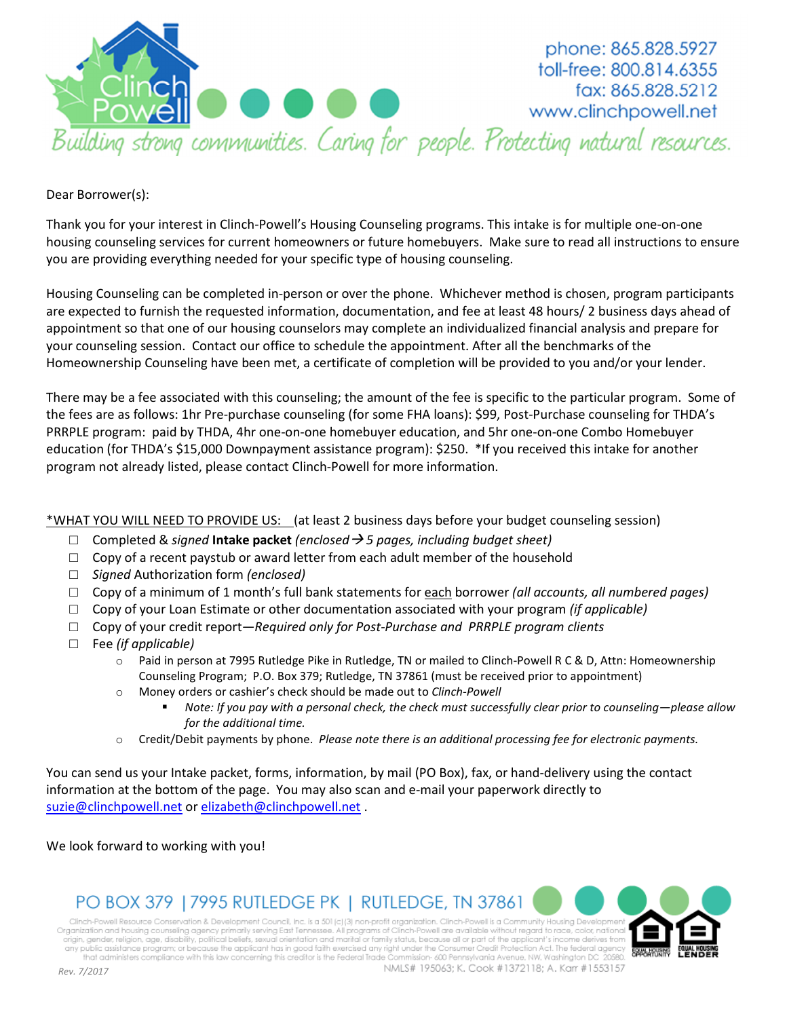

phone: 865.828.5927 toll-free: 800.814.6355 fax: 865.828.5212 www.clinchpowell.net

Dear Borrower(s):

Thank you for your interest in Clinch-Powell's Housing Counseling programs. This intake is for multiple one-on-one housing counseling services for current homeowners or future homebuyers. Make sure to read all instructions to ensure you are providing everything needed for your specific type of housing counseling.

Housing Counseling can be completed in-person or over the phone. Whichever method is chosen, program participants are expected to furnish the requested information, documentation, and fee at least 48 hours/ 2 business days ahead of appointment so that one of our housing counselors may complete an individualized financial analysis and prepare for your counseling session. Contact our office to schedule the appointment. After all the benchmarks of the Homeownership Counseling have been met, a certificate of completion will be provided to you and/or your lender.

There may be a fee associated with this counseling; the amount of the fee is specific to the particular program. Some of the fees are as follows: 1hr Pre-purchase counseling (for some FHA loans): \$99, Post-Purchase counseling for THDA's PRRPLE program: paid by THDA, 4hr one-on-one homebuyer education, and 5hr one-on-one Combo Homebuyer education (for THDA's \$15,000 Downpayment assistance program): \$250. \*If you received this intake for another program not already listed, please contact Clinch-Powell for more information.

#### \*WHAT YOU WILL NEED TO PROVIDE US: (at least 2 business days before your budget counseling session)

- □ Completed & *signed* **Intake packet** *(enclosed 5 pages, including budget sheet)*
- $\Box$  Copy of a recent paystub or award letter from each adult member of the household
- □ *Signed* Authorization form *(enclosed)*
- □ Copy of a minimum of 1 month's full bank statements for each borrower *(all accounts, all numbered pages)*
- □ Copy of your Loan Estimate or other documentation associated with your program *(if applicable)*
- □ Copy of your credit report*—Required only for Post-Purchase and PRRPLE program clients*
- □ Fee *(if applicable)* 
	- o Paid in person at 7995 Rutledge Pike in Rutledge, TN or mailed to Clinch-Powell R C & D, Attn: Homeownership Counseling Program; P.O. Box 379; Rutledge, TN 37861 (must be received prior to appointment)
	- o Money orders or cashier's check should be made out to *Clinch-Powell* 
		- - *Note: If you pay with a personal check, the check must successfully clear prior to counseling—please allow for the additional time.*

NMLS# 195063: K. Cook #1372118: A. Karr #1553157

o Credit/Debit payments by phone. *Please note there is an additional processing fee for electronic payments.* 

You can send us your Intake packet, forms, information, by mail (PO Box), fax, or hand-delivery using the contact information at the bottom of the page. You may also scan and e-mail your paperwork directly to suzie@clinchpowell.net or elizabeth@clinchpowell.net .

We look forward to working with you!

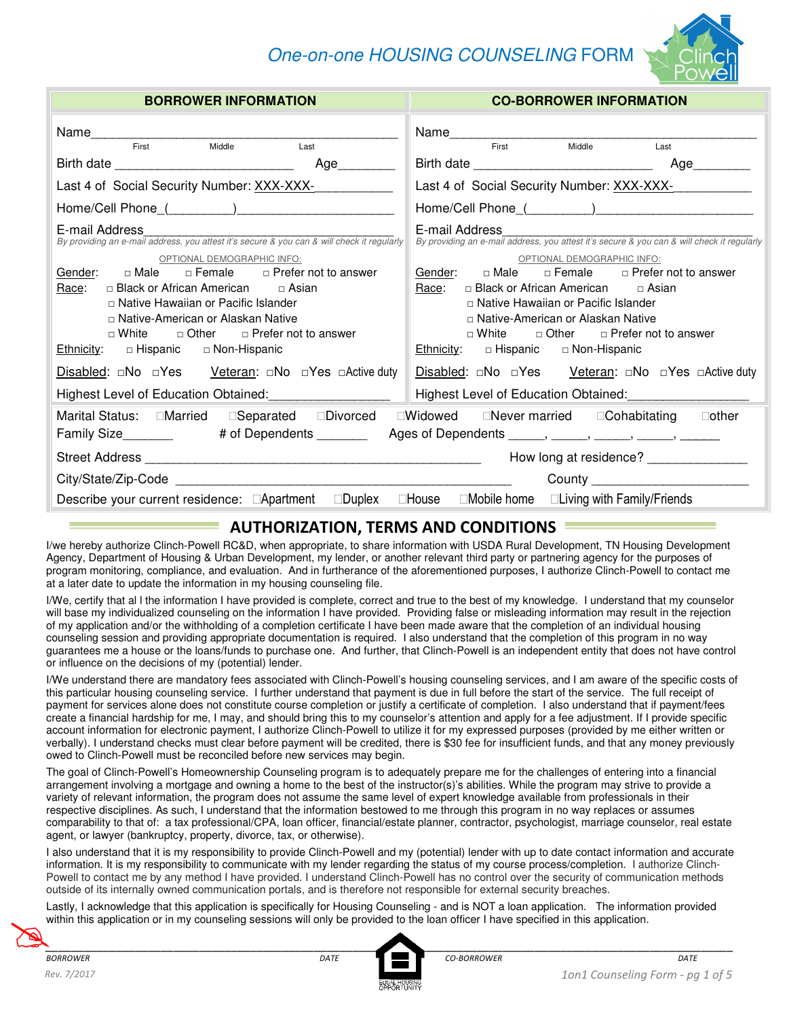# One-on-one HOUSING COUNSELING FORM



| <b>BORROWER INFORMATION</b>                                                                                                                                                                                                                                                                                                                                                                                                                                                          | <b>CO-BORROWER INFORMATION</b>                                                                                                                                                                                                                                                                                                                                                                    |  |  |  |
|--------------------------------------------------------------------------------------------------------------------------------------------------------------------------------------------------------------------------------------------------------------------------------------------------------------------------------------------------------------------------------------------------------------------------------------------------------------------------------------|---------------------------------------------------------------------------------------------------------------------------------------------------------------------------------------------------------------------------------------------------------------------------------------------------------------------------------------------------------------------------------------------------|--|--|--|
| First Middle<br>Last                                                                                                                                                                                                                                                                                                                                                                                                                                                                 | First<br>Middle<br>Last                                                                                                                                                                                                                                                                                                                                                                           |  |  |  |
|                                                                                                                                                                                                                                                                                                                                                                                                                                                                                      | Age_________                                                                                                                                                                                                                                                                                                                                                                                      |  |  |  |
| Last 4 of Social Security Number: XXX-XXX-                                                                                                                                                                                                                                                                                                                                                                                                                                           | Last 4 of Social Security Number: XXX-XXX-                                                                                                                                                                                                                                                                                                                                                        |  |  |  |
|                                                                                                                                                                                                                                                                                                                                                                                                                                                                                      |                                                                                                                                                                                                                                                                                                                                                                                                   |  |  |  |
| E-mail Address<br>L-Triali Addicas<br>By providing an e-mail address, you attest it's secure & you can & will check it regularly                                                                                                                                                                                                                                                                                                                                                     | E-mail Address<br>By providing an e-mail address, you attest it's secure & you can & will check it regularly                                                                                                                                                                                                                                                                                      |  |  |  |
| OPTIONAL DEMOGRAPHIC INFO:<br>Gender: $\Box$ Male $\Box$ Female $\Box$ Prefer not to answer<br>□ Black or African American □ Asian<br>Race:<br>□ Native Hawaiian or Pacific Islander<br>□ Native-American or Alaskan Native<br>$\Box$ White $\Box$ Other $\Box$ Prefer not to answer<br>Ethnicity: $\Box$ Hispanic $\Box$ Non-Hispanic<br><b>Disabled:</b> □No □Yes Veteran: □No □Yes □Active duty<br>Highest Level of Education Obtained: [19] Mighest Level of Education Obtained: | OPTIONAL DEMOGRAPHIC INFO:<br>Gender: $\Box$ Male $\Box$ Female $\Box$ Prefer not to answer<br>□ Black or African American □ Asian<br>Race:<br>□ Native Hawaiian or Pacific Islander<br>□ Native-American or Alaskan Native<br>$\Box$ White $\Box$ Other $\Box$ Prefer not to answer<br><b>Ethnicity:</b> $\Box$ Hispanic $\Box$ Non-Hispanic<br>Highest Level of Education Obtained:<br><u> </u> |  |  |  |
| Marital Status: Married Separated Divorced                                                                                                                                                                                                                                                                                                                                                                                                                                           | Widowed Never married Cohabitating other                                                                                                                                                                                                                                                                                                                                                          |  |  |  |
| Family Size__________   # of Dependents _________  Ages of Dependents ______, ______, ______, ______,                                                                                                                                                                                                                                                                                                                                                                                |                                                                                                                                                                                                                                                                                                                                                                                                   |  |  |  |
|                                                                                                                                                                                                                                                                                                                                                                                                                                                                                      | How long at residence? _______________                                                                                                                                                                                                                                                                                                                                                            |  |  |  |
|                                                                                                                                                                                                                                                                                                                                                                                                                                                                                      |                                                                                                                                                                                                                                                                                                                                                                                                   |  |  |  |
| Describe your current residence: Apartment                                                                                                                                                                                                                                                                                                                                                                                                                                           | Duplex House Mobile home Living with Family/Friends                                                                                                                                                                                                                                                                                                                                               |  |  |  |
|                                                                                                                                                                                                                                                                                                                                                                                                                                                                                      |                                                                                                                                                                                                                                                                                                                                                                                                   |  |  |  |

## **AUTHORIZATION, TERMS AND CONDITIONS**

I/we hereby authorize Clinch-Powell RC&D, when appropriate, to share information with USDA Rural Development, TN Housing Development Agency, Department of Housing & Urban Development, my lender, or another relevant third party or partnering agency for the purposes of program monitoring, compliance, and evaluation. And in furtherance of the aforementioned purposes, I authorize Clinch-Powell to contact me at a later date to update the information in my housing counseling file.

I/We, certify that al l the information I have provided is complete, correct and true to the best of my knowledge. I understand that my counselor will base my individualized counseling on the information I have provided. Providing false or misleading information may result in the rejection of my application and/or the withholding of a completion certificate I have been made aware that the completion of an individual housing counseling session and providing appropriate documentation is required. I also understand that the completion of this program in no way guarantees me a house or the loans/funds to purchase one. And further, that Clinch-Powell is an independent entity that does not have control or influence on the decisions of my (potential) lender.

I/We understand there are mandatory fees associated with Clinch-Powell's housing counseling services, and I am aware of the specific costs of this particular housing counseling service. I further understand that payment is due in full before the start of the service. The full receipt of payment for services alone does not constitute course completion or justify a certificate of completion. I also understand that if payment/fees create a financial hardship for me, I may, and should bring this to my counselor's attention and apply for a fee adjustment. If I provide specific account information for electronic payment, I authorize Clinch-Powell to utilize it for my expressed purposes (provided by me either written or verbally). I understand checks must clear before payment will be credited, there is \$30 fee for insufficient funds, and that any money previously owed to Clinch-Powell must be reconciled before new services may begin.

The goal of Clinch-Powell's Homeownership Counseling program is to adequately prepare me for the challenges of entering into a financial arrangement involving a mortgage and owning a home to the best of the instructor(s)'s abilities. While the program may strive to provide a variety of relevant information, the program does not assume the same level of expert knowledge available from professionals in their respective disciplines. As such, I understand that the information bestowed to me through this program in no way replaces or assumes comparability to that of: a tax professional/CPA, loan officer, financial/estate planner, contractor, psychologist, marriage counselor, real estate agent, or lawyer (bankruptcy, property, divorce, tax, or otherwise).

I also understand that it is my responsibility to provide Clinch-Powell and my (potential) lender with up to date contact information and accurate information. It is my responsibility to communicate with my lender regarding the status of my course process/completion. I authorize Clinch-Powell to contact me by any method I have provided. I understand Clinch-Powell has no control over the security of communication methods outside of its internally owned communication portals, and is therefore not responsible for external security breaches.

Lastly, I acknowledge that this application is specifically for Housing Counseling - and is NOT a loan application. The information provided within this application or in my counseling sessions will only be provided to the loan officer I have specified in this application. 

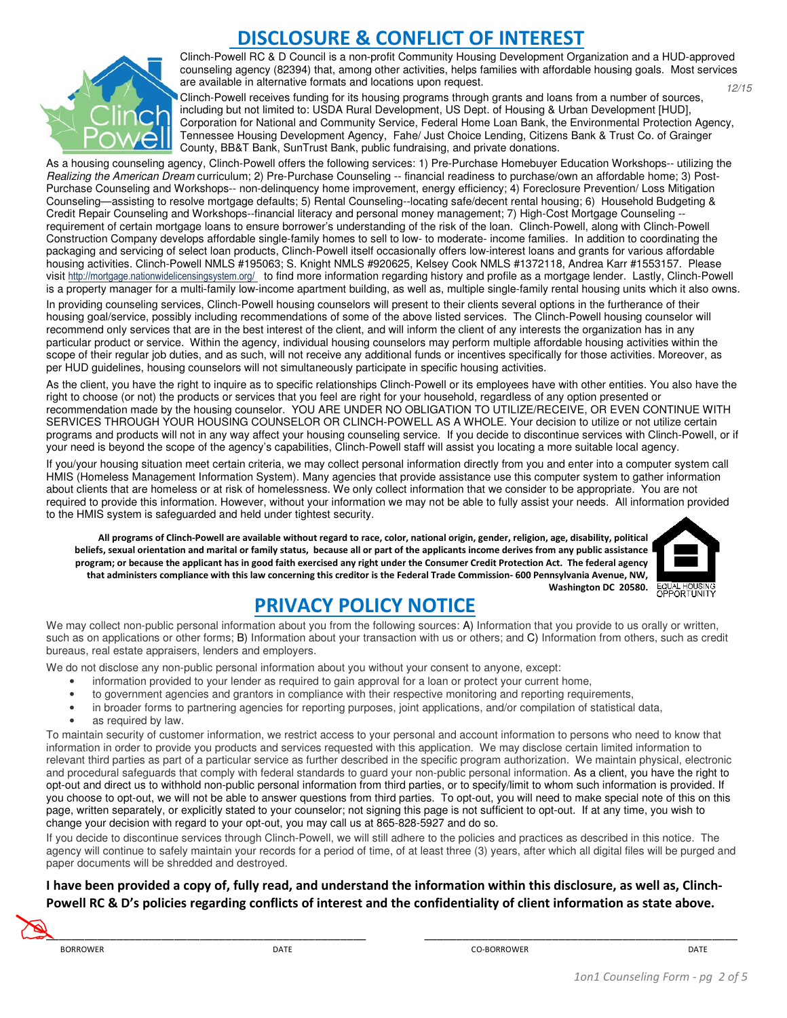# **SCLOSURE & CONFLICT OF INTEREST**



Clinch-Powell RC & D Council is a non-profit Community Housing Development Organization and a HUD-approved counseling agency (82394) that, among other activities, helps families with affordable housing goals. Most services are available in alternative formats and locations upon request. 12/15

Clinch-Powell receives funding for its housing programs through grants and loans from a number of sources, including but not limited to: USDA Rural Development, US Dept. of Housing & Urban Development [HUD], Corporation for National and Community Service, Federal Home Loan Bank, the Environmental Protection Agency, Tennessee Housing Development Agency, Fahe/ Just Choice Lending, Citizens Bank & Trust Co. of Grainger County, BB&T Bank, SunTrust Bank, public fundraising, and private donations.

As a housing counseling agency, Clinch-Powell offers the following services: 1) Pre-Purchase Homebuyer Education Workshops-- utilizing the Realizing the American Dream curriculum; 2) Pre-Purchase Counseling -- financial readiness to purchase/own an affordable home; 3) Post-Purchase Counseling and Workshops-- non-delinquency home improvement, energy efficiency; 4) Foreclosure Prevention/ Loss Mitigation Counseling—assisting to resolve mortgage defaults; 5) Rental Counseling--locating safe/decent rental housing; 6) Household Budgeting & Credit Repair Counseling and Workshops--financial literacy and personal money management; 7) High-Cost Mortgage Counseling - requirement of certain mortgage loans to ensure borrower's understanding of the risk of the loan. Clinch-Powell, along with Clinch-Powell Construction Company develops affordable single-family homes to sell to low- to moderate- income families. In addition to coordinating the packaging and servicing of select loan products, Clinch-Powell itself occasionally offers low-interest loans and grants for various affordable housing activities. Clinch-Powell NMLS #195063; S. Knight NMLS #920625, Kelsey Cook NMLS #1372118, Andrea Karr #1553157. Please visit http://mortgage.nationwidelicensingsystem.org/ to find more information regarding history and profile as a mortgage lender. Lastly, Clinch-Powell is a property manager for a multi-family low-income apartment building, as well as, multiple single-family rental housing units which it also owns.

In providing counseling services, Clinch-Powell housing counselors will present to their clients several options in the furtherance of their housing goal/service, possibly including recommendations of some of the above listed services. The Clinch-Powell housing counselor will recommend only services that are in the best interest of the client, and will inform the client of any interests the organization has in any particular product or service. Within the agency, individual housing counselors may perform multiple affordable housing activities within the scope of their regular job duties, and as such, will not receive any additional funds or incentives specifically for those activities. Moreover, as per HUD guidelines, housing counselors will not simultaneously participate in specific housing activities.

As the client, you have the right to inquire as to specific relationships Clinch-Powell or its employees have with other entities. You also have the right to choose (or not) the products or services that you feel are right for your household, regardless of any option presented or recommendation made by the housing counselor. YOU ARE UNDER NO OBLIGATION TO UTILIZE/RECEIVE, OR EVEN CONTINUE WITH SERVICES THROUGH YOUR HOUSING COUNSELOR OR CLINCH-POWELL AS A WHOLE. Your decision to utilize or not utilize certain programs and products will not in any way affect your housing counseling service. If you decide to discontinue services with Clinch-Powell, or if your need is beyond the scope of the agency's capabilities, Clinch-Powell staff will assist you locating a more suitable local agency.

If you/your housing situation meet certain criteria, we may collect personal information directly from you and enter into a computer system call HMIS (Homeless Management Information System). Many agencies that provide assistance use this computer system to gather information about clients that are homeless or at risk of homelessness. We only collect information that we consider to be appropriate. You are not required to provide this information. However, without your information we may not be able to fully assist your needs. All information provided to the HMIS system is safeguarded and held under tightest security.

**All programs of Clinch-Powell are available without regard to race, color, national origin, gender, religion, age, disability, political beliefs, sexual orientation and marital or family status, because all or part of the applicants income derives from any public assistance program; or because the applicant has in good faith exercised any right under the Consumer Credit Protection Act. The federal agency that administers compliance with this law concerning this creditor is the Federal Trade Commission- 600 Pennsylvania Avenue, NW,**  Washington DC 20580. EQUAL HOUSING



# **PRIVACY POLICY NOTICE**

We may collect non-public personal information about you from the following sources: A) Information that you provide to us orally or written, such as on applications or other forms; B) Information about your transaction with us or others; and C) Information from others, such as credit bureaus, real estate appraisers, lenders and employers.

We do not disclose any non-public personal information about you without your consent to anyone, except:

- information provided to your lender as required to gain approval for a loan or protect your current home,
- to government agencies and grantors in compliance with their respective monitoring and reporting requirements,
- in broader forms to partnering agencies for reporting purposes, joint applications, and/or compilation of statistical data,
- as required by law.

To maintain security of customer information, we restrict access to your personal and account information to persons who need to know that information in order to provide you products and services requested with this application. We may disclose certain limited information to relevant third parties as part of a particular service as further described in the specific program authorization. We maintain physical, electronic and procedural safeguards that comply with federal standards to guard your non-public personal information. As a client, you have the right to opt-out and direct us to withhold non-public personal information from third parties, or to specify/limit to whom such information is provided. If you choose to opt-out, we will not be able to answer questions from third parties. To opt-out, you will need to make special note of this on this page, written separately, or explicitly stated to your counselor; not signing this page is not sufficient to opt-out. If at any time, you wish to change your decision with regard to your opt-out, you may call us at 865-828-5927 and do so.

If you decide to discontinue services through Clinch-Powell, we will still adhere to the policies and practices as described in this notice. The agency will continue to safely maintain your records for a period of time, of at least three (3) years, after which all digital files will be purged and paper documents will be shredded and destroyed.

# **I have been provided a copy of, fully read, and understand the information within this disclosure, as well as, Clinch-**Powell RC & D's policies regarding conflicts of interest and the confidentiality of client information as state above.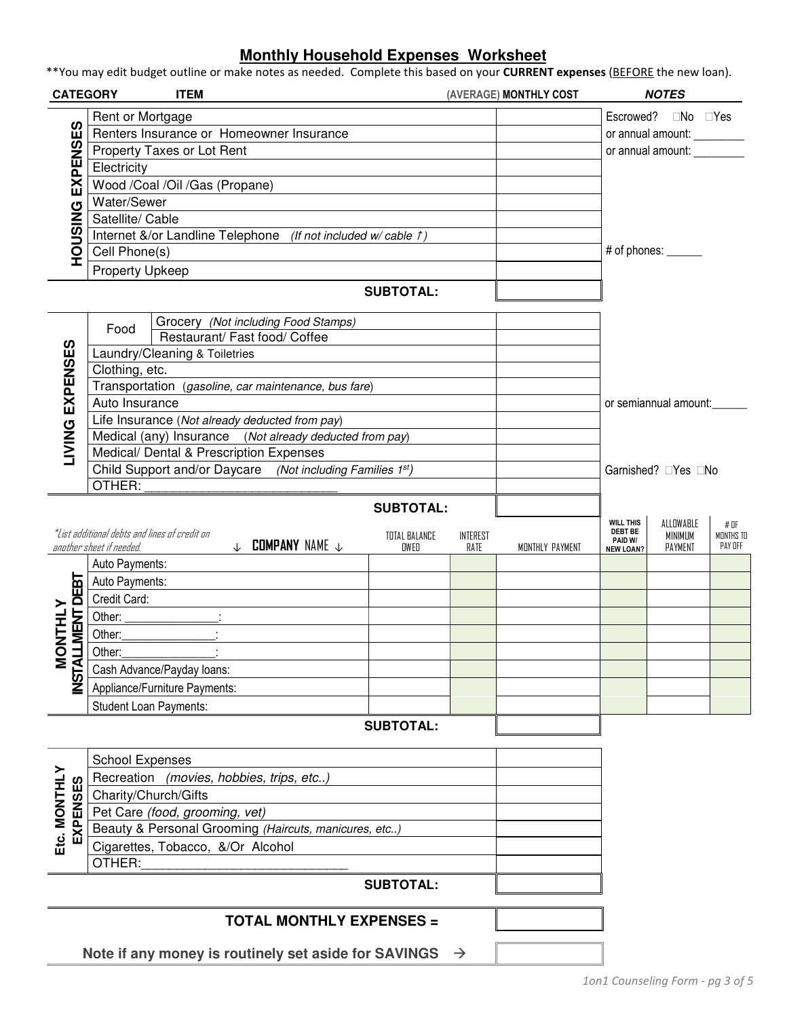### **Monthly Household Expenses Worksheet**

\*\*You may edit budget outline or make notes as needed. Complete this based on your **CURRENT expenses** (BEFORE the new loan).

| <b>CATEGORY</b>                       | <b>ITEM</b>                                           |                                                               |                       |                  | (AVERAGE) MONTHLY COST |                                    | <b>NOTES</b>                |                      |
|---------------------------------------|-------------------------------------------------------|---------------------------------------------------------------|-----------------------|------------------|------------------------|------------------------------------|-----------------------------|----------------------|
|                                       | Rent or Mortgage                                      |                                                               |                       |                  |                        | Escrowed?                          | No                          | Yes                  |
|                                       |                                                       | Renters Insurance or Homeowner Insurance                      |                       |                  |                        |                                    | or annual amount: _________ |                      |
|                                       | Property Taxes or Lot Rent                            |                                                               |                       |                  |                        |                                    | or annual amount:           |                      |
|                                       | Electricity                                           |                                                               |                       |                  |                        |                                    |                             |                      |
|                                       | Wood /Coal /Oil /Gas (Propane)                        |                                                               |                       |                  |                        |                                    |                             |                      |
|                                       | Water/Sewer                                           |                                                               |                       |                  |                        |                                    |                             |                      |
|                                       | Satellite/ Cable                                      |                                                               |                       |                  |                        |                                    |                             |                      |
|                                       |                                                       | Internet &/or Landline Telephone (If not included w/ cable 1) |                       |                  |                        |                                    |                             |                      |
| <b>HOUSING EXPENSES</b>               | Cell Phone(s)                                         |                                                               |                       |                  |                        | # of phones: _____                 |                             |                      |
|                                       |                                                       |                                                               |                       |                  |                        |                                    |                             |                      |
|                                       | <b>Property Upkeep</b>                                |                                                               |                       |                  |                        |                                    |                             |                      |
|                                       |                                                       |                                                               | <b>SUBTOTAL:</b>      |                  |                        |                                    |                             |                      |
|                                       | Food                                                  | Grocery (Not including Food Stamps)                           |                       |                  |                        |                                    |                             |                      |
|                                       |                                                       | Restaurant/ Fast food/ Coffee                                 |                       |                  |                        |                                    |                             |                      |
|                                       | Laundry/Cleaning & Toiletries                         |                                                               |                       |                  |                        |                                    |                             |                      |
|                                       | Clothing, etc.                                        |                                                               |                       |                  |                        |                                    |                             |                      |
|                                       |                                                       | Transportation (gasoline, car maintenance, bus fare)          |                       |                  |                        | or semiannual amount:              |                             |                      |
| <b>IVING EXPENSES</b>                 | Auto Insurance                                        |                                                               |                       |                  |                        |                                    |                             |                      |
|                                       |                                                       | Life Insurance (Not already deducted from pay)                |                       |                  |                        |                                    |                             |                      |
|                                       |                                                       | Medical (any) Insurance (Not already deducted from pay)       |                       |                  |                        |                                    |                             |                      |
|                                       |                                                       | Medical/ Dental & Prescription Expenses                       |                       |                  |                        |                                    |                             |                      |
|                                       |                                                       | Child Support and/or Daycare (Not including Families 1st)     |                       |                  |                        |                                    | Garnished? Yes No           |                      |
|                                       | OTHER:                                                |                                                               |                       |                  |                        |                                    |                             |                      |
|                                       |                                                       |                                                               | <b>SUBTOTAL:</b>      |                  |                        |                                    |                             |                      |
|                                       | *List additional debts and lines of credit on         |                                                               |                       |                  |                        | <b>WILL THIS</b><br><b>DEBT BE</b> | ALLOWABLE                   | # OF                 |
|                                       | another sheet if needed.                              | $\downarrow$ <b>Company</b> name $\downarrow$                 | TOTAL BALANCE<br>OWED | INTEREST<br>RATE | MONTHLY PAYMENT        | PAID W/<br><b>NEW LOAN?</b>        | <b>MINIMUM</b><br>PAYMENT   | MONTHS TO<br>PAY OFF |
|                                       | Auto Payments:                                        |                                                               |                       |                  |                        |                                    |                             |                      |
|                                       | Auto Payments:                                        |                                                               |                       |                  |                        |                                    |                             |                      |
|                                       | Credit Card:                                          |                                                               |                       |                  |                        |                                    |                             |                      |
|                                       | Other:                                                |                                                               |                       |                  |                        |                                    |                             |                      |
|                                       | Other:                                                |                                                               |                       |                  |                        |                                    |                             |                      |
| <b>ILLMENT DEBT</b><br><b>VTHLVOU</b> | Other:                                                |                                                               |                       |                  |                        |                                    |                             |                      |
|                                       | Cash Advance/Payday loans:                            |                                                               |                       |                  |                        |                                    |                             |                      |
| <b>NST</b>                            | Appliance/Furniture Payments:                         |                                                               |                       |                  |                        |                                    |                             |                      |
|                                       |                                                       |                                                               |                       |                  |                        |                                    |                             |                      |
|                                       | Student Loan Payments:                                |                                                               |                       |                  |                        |                                    |                             |                      |
|                                       |                                                       |                                                               | <b>SUBTOTAL:</b>      |                  |                        |                                    |                             |                      |
|                                       | <b>School Expenses</b>                                |                                                               |                       |                  |                        |                                    |                             |                      |
|                                       | Recreation (movies, hobbies, trips, etc)              |                                                               |                       |                  |                        |                                    |                             |                      |
|                                       | Charity/Church/Gifts                                  |                                                               |                       |                  |                        |                                    |                             |                      |
| EXPENSES                              | Pet Care (food, grooming, vet)                        |                                                               |                       |                  |                        |                                    |                             |                      |
|                                       | Beauty & Personal Grooming (Haircuts, manicures, etc) |                                                               |                       |                  |                        |                                    |                             |                      |
| Etc. MONTHLY                          | Cigarettes, Tobacco, &/Or Alcohol                     |                                                               |                       |                  |                        |                                    |                             |                      |
|                                       | OTHER:                                                |                                                               |                       |                  |                        |                                    |                             |                      |
|                                       |                                                       |                                                               | <b>SUBTOTAL:</b>      |                  |                        |                                    |                             |                      |
|                                       |                                                       | <b>TOTAL MONTHLY EXPENSES =</b>                               |                       |                  |                        |                                    |                             |                      |
|                                       |                                                       |                                                               |                       |                  |                        |                                    |                             |                      |
|                                       |                                                       | Note if any money is routinely set aside for SAVINGS          |                       | $\rightarrow$    |                        |                                    |                             |                      |
|                                       |                                                       |                                                               |                       |                  |                        | 1on1 Counseling Form - pg 3 of 5   |                             |                      |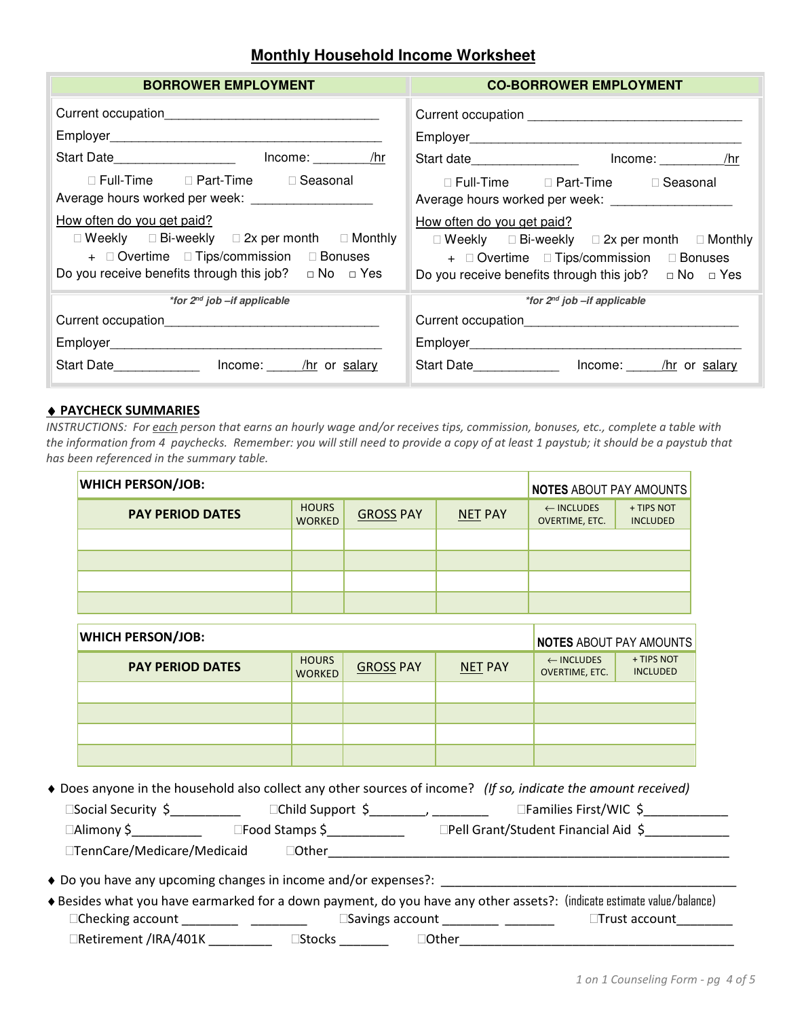### **Monthly Household Income Worksheet**

| <b>BORROWER EMPLOYMENT</b>                                                                                                                                                                                                                                         | <b>CO-BORROWER EMPLOYMENT</b>                                                                                                             |  |  |  |
|--------------------------------------------------------------------------------------------------------------------------------------------------------------------------------------------------------------------------------------------------------------------|-------------------------------------------------------------------------------------------------------------------------------------------|--|--|--|
|                                                                                                                                                                                                                                                                    |                                                                                                                                           |  |  |  |
| Start Date_____________________ lncome: ________ /hr                                                                                                                                                                                                               | Start date___________________ lncome: ________ /hr                                                                                        |  |  |  |
| Full-Time Part-Time Seasonal<br>Average hours worked per week: ____________________<br>How often do you get paid?<br>Weekly Bi-weekly 2x per month Monthly<br>+ Overtime Tips/commission Bonuses<br>Do you receive benefits through this job? $\Box$ No $\Box$ Yes | Full-Time Part-Time Seasonal<br>How often do you get paid?<br>Weekly Bi-weekly 2x per month Monthly<br>+ Overtime Tips/commission Bonuses |  |  |  |
| *for $2^{nd}$ job $-$ if applicable                                                                                                                                                                                                                                | Do you receive benefits through this job? $\Box$ No $\Box$ Yes<br>*for 2 <sup>nd</sup> job -if applicable                                 |  |  |  |
|                                                                                                                                                                                                                                                                    |                                                                                                                                           |  |  |  |
|                                                                                                                                                                                                                                                                    |                                                                                                                                           |  |  |  |
| Start Date ________________ lncome: _____ /hr or salary                                                                                                                                                                                                            | Start Date________________ lncome: _____ /hr or salary                                                                                    |  |  |  |

#### ♦ **PAYCHECK SUMMARIES**

*INSTRUCTIONS: For each person that earns an hourly wage and/or receives tips, commission, bonuses, etc., complete a table with the information from 4 paychecks. Remember: you will still need to provide a copy of at least 1 paystub; it should be a paystub that has been referenced in the summary table.* 

| <b>WHICH PERSON/JOB:</b> |                               |                  |                | NOTES ABOUT PAY AMOUNTS                 |                               |
|--------------------------|-------------------------------|------------------|----------------|-----------------------------------------|-------------------------------|
| <b>PAY PERIOD DATES</b>  | <b>HOURS</b><br><b>WORKED</b> | <b>GROSS PAY</b> | <b>NET PAY</b> | $\leftarrow$ INCLUDES<br>OVERTIME, ETC. | + TIPS NOT<br><b>INCLUDED</b> |
|                          |                               |                  |                |                                         |                               |
|                          |                               |                  |                |                                         |                               |
|                          |                               |                  |                |                                         |                               |
|                          |                               |                  |                |                                         |                               |

| <b>WHICH PERSON/JOB:</b> |                               |                  |                |                                                | <b>NOTES ABOUT PAY AMOUNTS</b> |
|--------------------------|-------------------------------|------------------|----------------|------------------------------------------------|--------------------------------|
| <b>PAY PERIOD DATES</b>  | <b>HOURS</b><br><b>WORKED</b> | <b>GROSS PAY</b> | <b>NET PAY</b> | $\leftarrow$ INCLUDES<br><b>OVERTIME, ETC.</b> | + TIPS NOT<br><b>INCLUDED</b>  |
|                          |                               |                  |                |                                                |                                |
|                          |                               |                  |                |                                                |                                |
|                          |                               |                  |                |                                                |                                |
|                          |                               |                  |                |                                                |                                |

♦ Does anyone in the household also collect any other sources of income? *(If so, indicate the amount received)*

Social Security  $\zeta$  \_\_\_\_\_\_\_\_\_\_ Child Support  $\zeta$  \_\_\_\_\_\_\_, \_\_\_\_\_\_\_\_\_ Families First/WIC  $\zeta$  \_\_\_\_\_\_\_\_\_ Alimony \$\_\_\_\_\_\_\_\_\_\_ Food Stamps \$\_\_\_\_\_\_\_\_\_\_\_ Pell Grant/Student Financial Aid \$\_\_\_\_\_\_\_\_\_\_\_\_ TennCare/Medicare/Medicaid Other\_\_\_\_\_\_\_\_\_\_\_\_\_\_\_\_\_\_\_\_\_\_\_\_\_\_\_\_\_\_\_\_\_\_\_\_\_\_\_\_\_\_\_\_\_\_\_\_\_\_\_\_\_\_\_\_\_

- ♦ Do you have any upcoming changes in income and/or expenses?: \_\_\_\_\_\_\_\_\_\_\_\_\_\_\_\_\_\_\_\_\_\_\_\_\_\_\_\_\_\_\_\_\_\_\_\_\_\_\_\_\_\_
- ♦Besides what you have earmarked for a down payment, do you have any other assets?: (indicate estimate value/balance) Checking account \_\_\_\_\_\_\_\_ \_\_\_\_\_\_\_\_\_\_\_\_\_\_\_ Savings account \_\_\_\_\_\_\_\_\_ \_\_\_\_\_\_\_\_\_\_\_\_ Trust account \_\_\_\_\_\_\_\_\_ Retirement /IRA/401K \_\_\_\_\_\_\_\_\_\_\_\_ Stocks \_\_\_\_\_\_\_\_\_ Other \_\_\_\_\_\_\_\_\_\_\_\_\_\_\_\_\_\_\_\_\_\_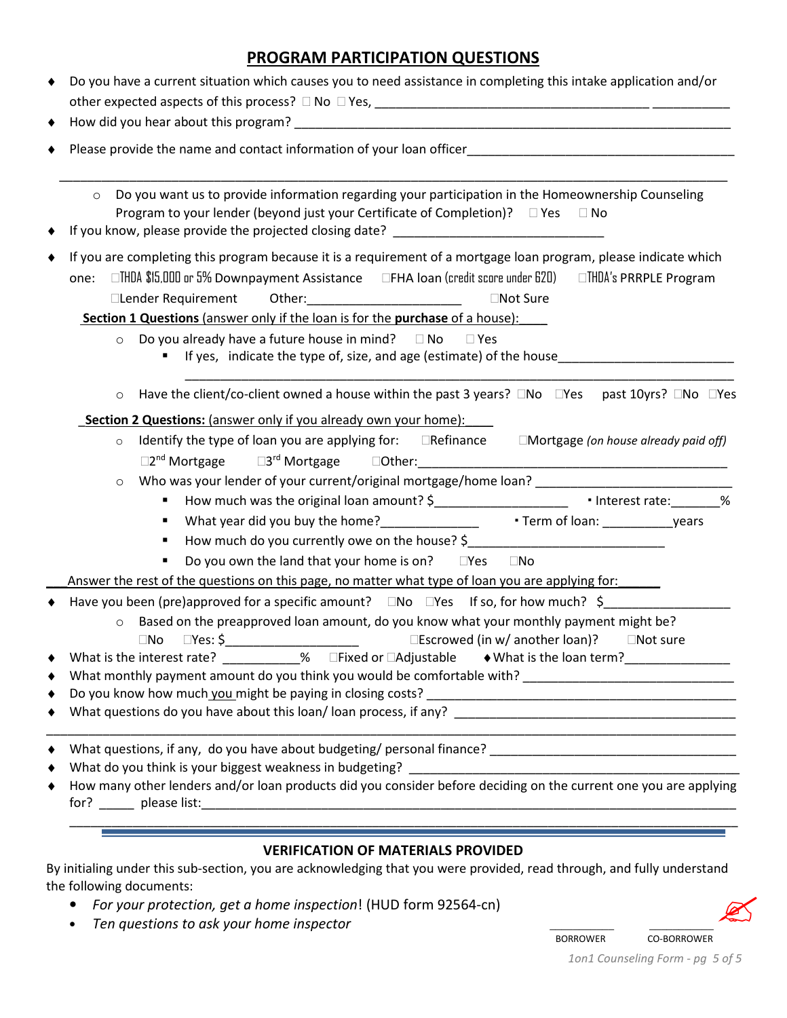## **PROGRAM PARTICIPATION QUESTIONS**

| Do you have a current situation which causes you to need assistance in completing this intake application and/or<br>٠                                                                                                                                                                                                                                                                                                                                                                                                                                                                                          |  |
|----------------------------------------------------------------------------------------------------------------------------------------------------------------------------------------------------------------------------------------------------------------------------------------------------------------------------------------------------------------------------------------------------------------------------------------------------------------------------------------------------------------------------------------------------------------------------------------------------------------|--|
|                                                                                                                                                                                                                                                                                                                                                                                                                                                                                                                                                                                                                |  |
| Do you want us to provide information regarding your participation in the Homeownership Counseling<br>$\circ$<br>Program to your lender (beyond just your Certificate of Completion)? Yes<br>No                                                                                                                                                                                                                                                                                                                                                                                                                |  |
| If you are completing this program because it is a requirement of a mortgage loan program, please indicate which<br>THDA \$15,000 or 5% Downpayment Assistance FHA Ioan (credit score under 620) THDA's PRRPLE Program<br>one:<br>Lender Requirement<br>Other: will be a series of the series of the series of the series of the series of the series of the series of<br>Not Sure<br>Section 1 Questions (answer only if the loan is for the purchase of a house):<br>Do you already have a future house in mind? No<br>Yes<br>$\circ$<br>If yes, indicate the type of, size, and age (estimate) of the house |  |
| Have the client/co-client owned a house within the past 3 years? No Yes past 10yrs? No Yes<br>$\circ$<br><b>Section 2 Questions:</b> (answer only if you already own your home):<br>Identify the type of loan you are applying for: Refinance Mortgage (on house already paid off)<br>$\circ$<br>$\circ$<br>$\blacksquare$<br>How much do you currently owe on the house? \$___________________________________<br>٠<br>Do you own the land that your home is on? Yes<br>No.<br>Answer the rest of the questions on this page, no matter what type of loan you are applying for:                               |  |
| Have you been (pre)approved for a specific amount? No Yes If so, for how much? \$<br>Based on the preapproved loan amount, do you know what your monthly payment might be?<br>$\circ$<br>What is the interest rate? ___________% Fixed or Adjustable $\rightarrow$ What is the loan term?<br>٠                                                                                                                                                                                                                                                                                                                 |  |
| the control of the control of the control of the control of the control of the control of the control of the control of the control of the control of the control of the control of the control of the control of the control<br>What do you think is your biggest weakness in budgeting?<br><u> 2008 - Jan James James James James James James James James James James James James James James James James J</u><br>How many other lenders and/or loan products did you consider before deciding on the current one you are applying<br>٠                                                                     |  |
| <b>VERIFICATION OF MATERIALS PROVIDED</b><br>By initialing under this sub-section, you are acknowledging that you were provided, read through and fully understand                                                                                                                                                                                                                                                                                                                                                                                                                                             |  |

By initialing under this sub-section, you are acknowledging that you were provided, read through, and fully understand the following documents:  $\mathbb{Z}$ 

- *For your protection, get a home inspection*! (HUD form 92564-cn)
- *Ten questions to ask your home inspector* \_\_\_\_\_\_\_\_\_\_\_ \_\_\_\_\_\_\_\_\_\_\_

 BORROWER CO-BORROWER *1on1 Counseling Form - pg 5 of 5*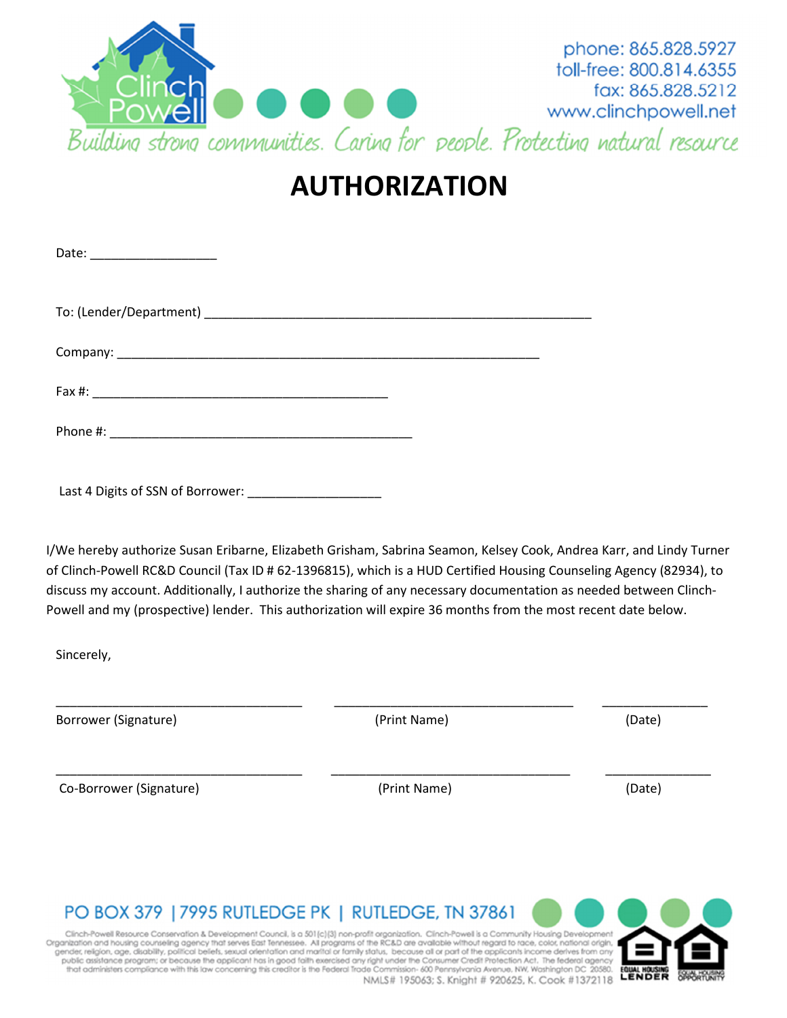

# **AUTHORIZATION**

| Date: ____________________ |  |
|----------------------------|--|
|                            |  |
|                            |  |
|                            |  |
|                            |  |

Last 4 Digits of SSN of Borrower:

I/We hereby authorize Susan Eribarne, Elizabeth Grisham, Sabrina Seamon, Kelsey Cook, Andrea Karr, and Lindy Turner of Clinch-Powell RC&D Council (Tax ID # 62-1396815), which is a HUD Certified Housing Counseling Agency (82934), to discuss my account. Additionally, I authorize the sharing of any necessary documentation as needed between Clinch-Powell and my (prospective) lender. This authorization will expire 36 months from the most recent date below.

 $\frac{1}{2}$  ,  $\frac{1}{2}$  ,  $\frac{1}{2}$  ,  $\frac{1}{2}$  ,  $\frac{1}{2}$  ,  $\frac{1}{2}$  ,  $\frac{1}{2}$  ,  $\frac{1}{2}$  ,  $\frac{1}{2}$  ,  $\frac{1}{2}$  ,  $\frac{1}{2}$  ,  $\frac{1}{2}$  ,  $\frac{1}{2}$  ,  $\frac{1}{2}$  ,  $\frac{1}{2}$  ,  $\frac{1}{2}$  ,  $\frac{1}{2}$  ,  $\frac{1}{2}$  ,  $\frac{1$ 

\_\_\_\_\_\_\_\_\_\_\_\_\_\_\_\_\_\_\_\_\_\_\_\_\_\_\_\_\_\_\_\_\_\_\_ \_\_\_\_\_\_\_\_\_\_\_\_\_\_\_\_\_\_\_\_\_\_\_\_\_\_\_\_\_\_\_\_\_\_ \_\_\_\_\_\_\_\_\_\_\_\_\_\_\_

Sincerely,

Borrower (Signature) and the control of the control of the control (Print Name) (Date) (Date)

Co-Borrower (Signature) and the compared of the control (Print Name) and the control (Date) (Date)

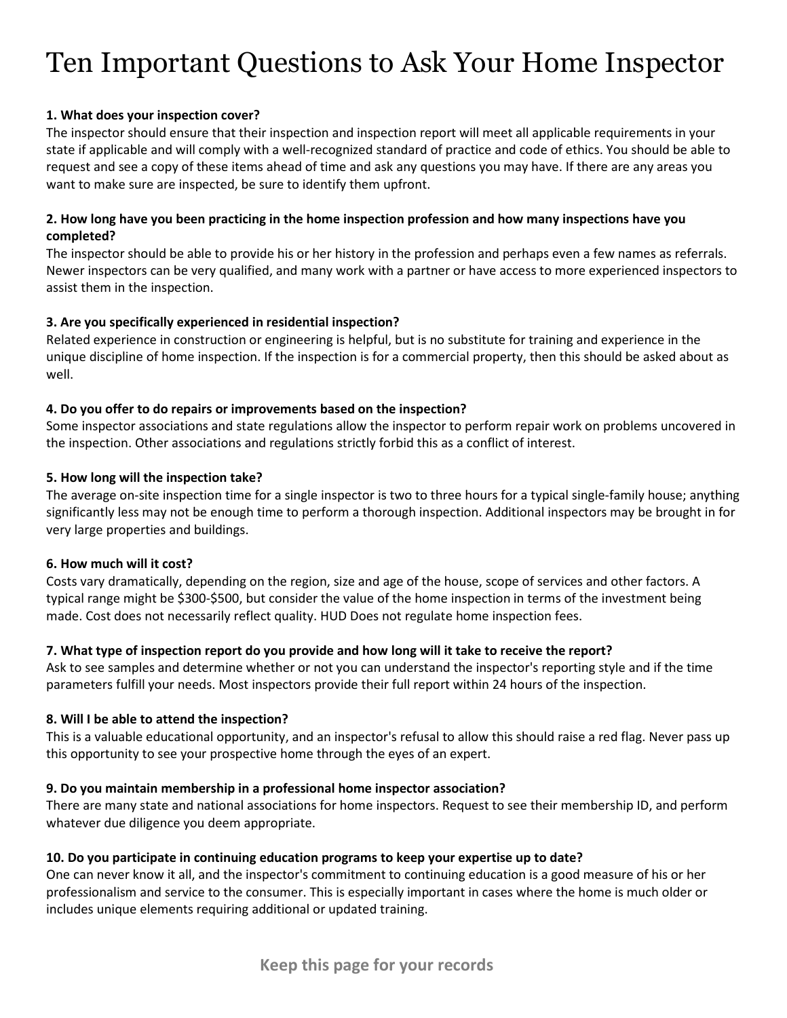# Ten Important Questions to Ask Your Home Inspector

#### **1. What does your inspection cover?**

The inspector should ensure that their inspection and inspection report will meet all applicable requirements in your state if applicable and will comply with a well-recognized standard of practice and code of ethics. You should be able to request and see a copy of these items ahead of time and ask any questions you may have. If there are any areas you want to make sure are inspected, be sure to identify them upfront.

#### **2. How long have you been practicing in the home inspection profession and how many inspections have you completed?**

The inspector should be able to provide his or her history in the profession and perhaps even a few names as referrals. Newer inspectors can be very qualified, and many work with a partner or have access to more experienced inspectors to assist them in the inspection.

#### **3. Are you specifically experienced in residential inspection?**

Related experience in construction or engineering is helpful, but is no substitute for training and experience in the unique discipline of home inspection. If the inspection is for a commercial property, then this should be asked about as well.

#### **4. Do you offer to do repairs or improvements based on the inspection?**

Some inspector associations and state regulations allow the inspector to perform repair work on problems uncovered in the inspection. Other associations and regulations strictly forbid this as a conflict of interest.

#### **5. How long will the inspection take?**

The average on-site inspection time for a single inspector is two to three hours for a typical single-family house; anything significantly less may not be enough time to perform a thorough inspection. Additional inspectors may be brought in for very large properties and buildings.

#### **6. How much will it cost?**

Costs vary dramatically, depending on the region, size and age of the house, scope of services and other factors. A typical range might be \$300-\$500, but consider the value of the home inspection in terms of the investment being made. Cost does not necessarily reflect quality. HUD Does not regulate home inspection fees.

#### **7. What type of inspection report do you provide and how long will it take to receive the report?**

Ask to see samples and determine whether or not you can understand the inspector's reporting style and if the time parameters fulfill your needs. Most inspectors provide their full report within 24 hours of the inspection.

#### **8. Will I be able to attend the inspection?**

This is a valuable educational opportunity, and an inspector's refusal to allow this should raise a red flag. Never pass up this opportunity to see your prospective home through the eyes of an expert.

#### **9. Do you maintain membership in a professional home inspector association?**

There are many state and national associations for home inspectors. Request to see their membership ID, and perform whatever due diligence you deem appropriate.

#### **10. Do you participate in continuing education programs to keep your expertise up to date?**

One can never know it all, and the inspector's commitment to continuing education is a good measure of his or her professionalism and service to the consumer. This is especially important in cases where the home is much older or includes unique elements requiring additional or updated training.